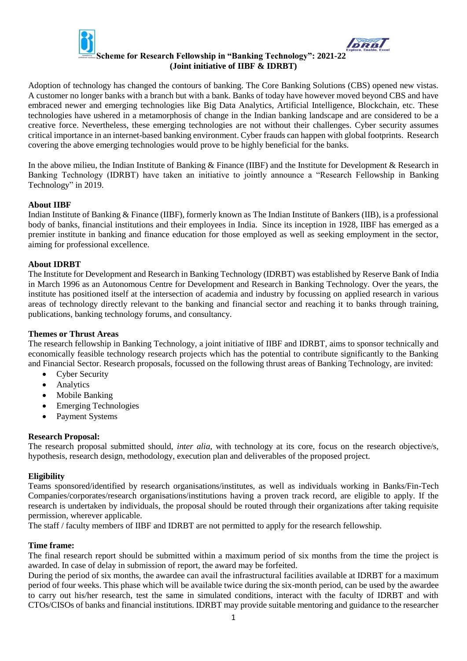

Adoption of technology has changed the contours of banking. The Core Banking Solutions (CBS) opened new vistas. A customer no longer banks with a branch but with a bank. Banks of today have however moved beyond CBS and have embraced newer and emerging technologies like Big Data Analytics, Artificial Intelligence, Blockchain, etc. These technologies have ushered in a metamorphosis of change in the Indian banking landscape and are considered to be a creative force. Nevertheless, these emerging technologies are not without their challenges. Cyber security assumes critical importance in an internet-based banking environment. Cyber frauds can happen with global footprints. Research covering the above emerging technologies would prove to be highly beneficial for the banks.

In the above milieu, the Indian Institute of Banking & Finance (IIBF) and the Institute for Development & Research in Banking Technology (IDRBT) have taken an initiative to jointly announce a "Research Fellowship in Banking Technology" in 2019.

# **About IIBF**

Indian Institute of Banking & Finance (IIBF), formerly known as The Indian Institute of Bankers (IIB), is a professional body of banks, financial institutions and their employees in India. Since its inception in 1928, IIBF has emerged as a premier institute in banking and finance education for those employed as well as seeking employment in the sector, aiming for professional excellence.

# **About IDRBT**

The Institute for Development and Research in Banking Technology (IDRBT) was established by Reserve Bank of India in March 1996 as an Autonomous Centre for Development and Research in Banking Technology. Over the years, the institute has positioned itself at the intersection of academia and industry by focussing on applied research in various areas of technology directly relevant to the banking and financial sector and reaching it to banks through training, publications, banking technology forums, and consultancy.

## **Themes or Thrust Areas**

The research fellowship in Banking Technology, a joint initiative of IIBF and IDRBT, aims to sponsor technically and economically feasible technology research projects which has the potential to contribute significantly to the Banking and Financial Sector. Research proposals, focussed on the following thrust areas of Banking Technology, are invited:

- Cyber Security
- Analytics
- Mobile Banking
- Emerging Technologies
- Payment Systems

## **Research Proposal:**

The research proposal submitted should, *inter alia*, with technology at its core, focus on the research objective/s, hypothesis, research design, methodology, execution plan and deliverables of the proposed project.

## **Eligibility**

Teams sponsored/identified by research organisations/institutes, as well as individuals working in Banks/Fin-Tech Companies/corporates/research organisations/institutions having a proven track record, are eligible to apply. If the research is undertaken by individuals, the proposal should be routed through their organizations after taking requisite permission, wherever applicable.

The staff / faculty members of IIBF and IDRBT are not permitted to apply for the research fellowship.

## **Time frame:**

The final research report should be submitted within a maximum period of six months from the time the project is awarded. In case of delay in submission of report, the award may be forfeited.

During the period of six months, the awardee can avail the infrastructural facilities available at IDRBT for a maximum period of four weeks. This phase which will be available twice during the six-month period, can be used by the awardee to carry out his/her research, test the same in simulated conditions, interact with the faculty of IDRBT and with CTOs/CISOs of banks and financial institutions. IDRBT may provide suitable mentoring and guidance to the researcher